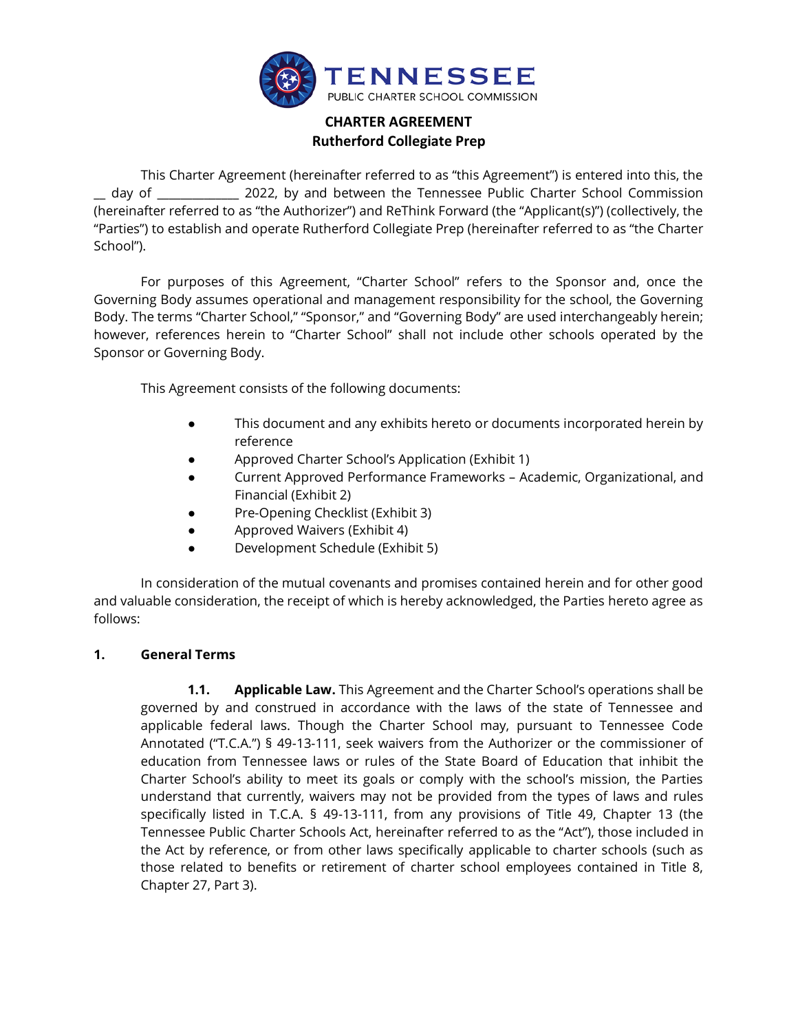

# **CHARTER AGREEMENT Rutherford Collegiate Prep**

This Charter Agreement (hereinafter referred to as "this Agreement") is entered into this, the \_\_ day of \_\_\_\_\_\_\_\_\_\_\_\_\_\_ 2022, by and between the Tennessee Public Charter School Commission (hereinafter referred to as "the Authorizer") and ReThink Forward (the "Applicant(s)") (collectively, the "Parties") to establish and operate Rutherford Collegiate Prep (hereinafter referred to as "the Charter School").

For purposes of this Agreement, "Charter School" refers to the Sponsor and, once the Governing Body assumes operational and management responsibility for the school, the Governing Body. The terms "Charter School," "Sponsor," and "Governing Body" are used interchangeably herein; however, references herein to "Charter School" shall not include other schools operated by the Sponsor or Governing Body.

This Agreement consists of the following documents:

- This document and any exhibits hereto or documents incorporated herein by reference
- Approved Charter School's Application (Exhibit 1)
- Current Approved Performance Frameworks Academic, Organizational, and Financial (Exhibit 2)
- Pre-Opening Checklist (Exhibit 3)
- Approved Waivers (Exhibit 4)
- Development Schedule (Exhibit 5)

In consideration of the mutual covenants and promises contained herein and for other good and valuable consideration, the receipt of which is hereby acknowledged, the Parties hereto agree as follows:

# **1. General Terms**

**1.1. Applicable Law.** This Agreement and the Charter School's operations shall be governed by and construed in accordance with the laws of the state of Tennessee and applicable federal laws. Though the Charter School may, pursuant to Tennessee Code Annotated ("T.C.A.") § 49-13-111, seek waivers from the Authorizer or the commissioner of education from Tennessee laws or rules of the State Board of Education that inhibit the Charter School's ability to meet its goals or comply with the school's mission, the Parties understand that currently, waivers may not be provided from the types of laws and rules specifically listed in T.C.A. § 49-13-111, from any provisions of Title 49, Chapter 13 (the Tennessee Public Charter Schools Act, hereinafter referred to as the "Act"), those included in the Act by reference, or from other laws specifically applicable to charter schools (such as those related to benefits or retirement of charter school employees contained in Title 8, Chapter 27, Part 3).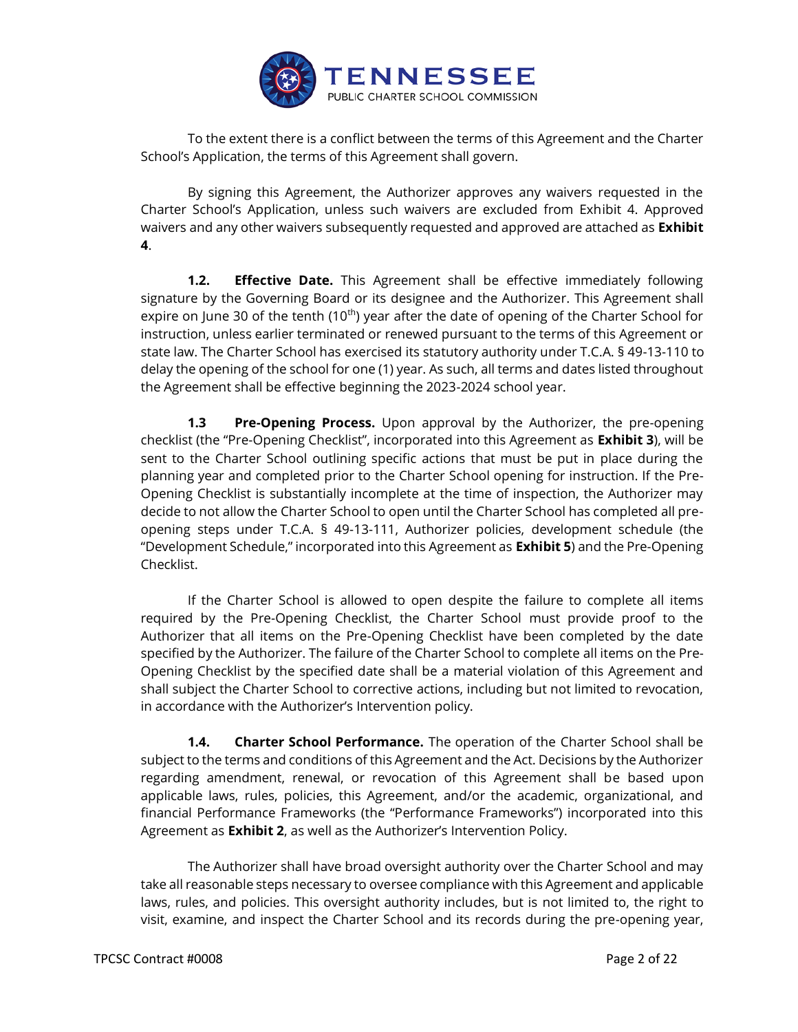

To the extent there is a conflict between the terms of this Agreement and the Charter School's Application, the terms of this Agreement shall govern.

By signing this Agreement, the Authorizer approves any waivers requested in the Charter School's Application, unless such waivers are excluded from Exhibit 4. Approved waivers and any other waivers subsequently requested and approved are attached as **Exhibit 4**.

**1.2. Effective Date.** This Agreement shall be effective immediately following signature by the Governing Board or its designee and the Authorizer. This Agreement shall expire on June 30 of the tenth (10<sup>th</sup>) year after the date of opening of the Charter School for instruction, unless earlier terminated or renewed pursuant to the terms of this Agreement or state law. The Charter School has exercised its statutory authority under T.C.A. § 49-13-110 to delay the opening of the school for one (1) year. As such, all terms and dates listed throughout the Agreement shall be effective beginning the 2023-2024 school year.

**1.3 Pre-Opening Process.** Upon approval by the Authorizer, the pre-opening checklist (the "Pre-Opening Checklist", incorporated into this Agreement as **Exhibit 3**), will be sent to the Charter School outlining specific actions that must be put in place during the planning year and completed prior to the Charter School opening for instruction. If the Pre-Opening Checklist is substantially incomplete at the time of inspection, the Authorizer may decide to not allow the Charter School to open until the Charter School has completed all preopening steps under T.C.A. § 49-13-111, Authorizer policies, development schedule (the "Development Schedule," incorporated into this Agreement as **Exhibit 5**) and the Pre-Opening Checklist.

If the Charter School is allowed to open despite the failure to complete all items required by the Pre-Opening Checklist, the Charter School must provide proof to the Authorizer that all items on the Pre-Opening Checklist have been completed by the date specified by the Authorizer. The failure of the Charter School to complete all items on the Pre-Opening Checklist by the specified date shall be a material violation of this Agreement and shall subject the Charter School to corrective actions, including but not limited to revocation, in accordance with the Authorizer's Intervention policy.

**1.4. Charter School Performance.** The operation of the Charter School shall be subject to the terms and conditions of this Agreement and the Act. Decisions by the Authorizer regarding amendment, renewal, or revocation of this Agreement shall be based upon applicable laws, rules, policies, this Agreement, and/or the academic, organizational, and financial Performance Frameworks (the "Performance Frameworks") incorporated into this Agreement as **Exhibit 2**, as well as the Authorizer's Intervention Policy.

The Authorizer shall have broad oversight authority over the Charter School and may take all reasonable steps necessary to oversee compliance with this Agreement and applicable laws, rules, and policies. This oversight authority includes, but is not limited to, the right to visit, examine, and inspect the Charter School and its records during the pre-opening year,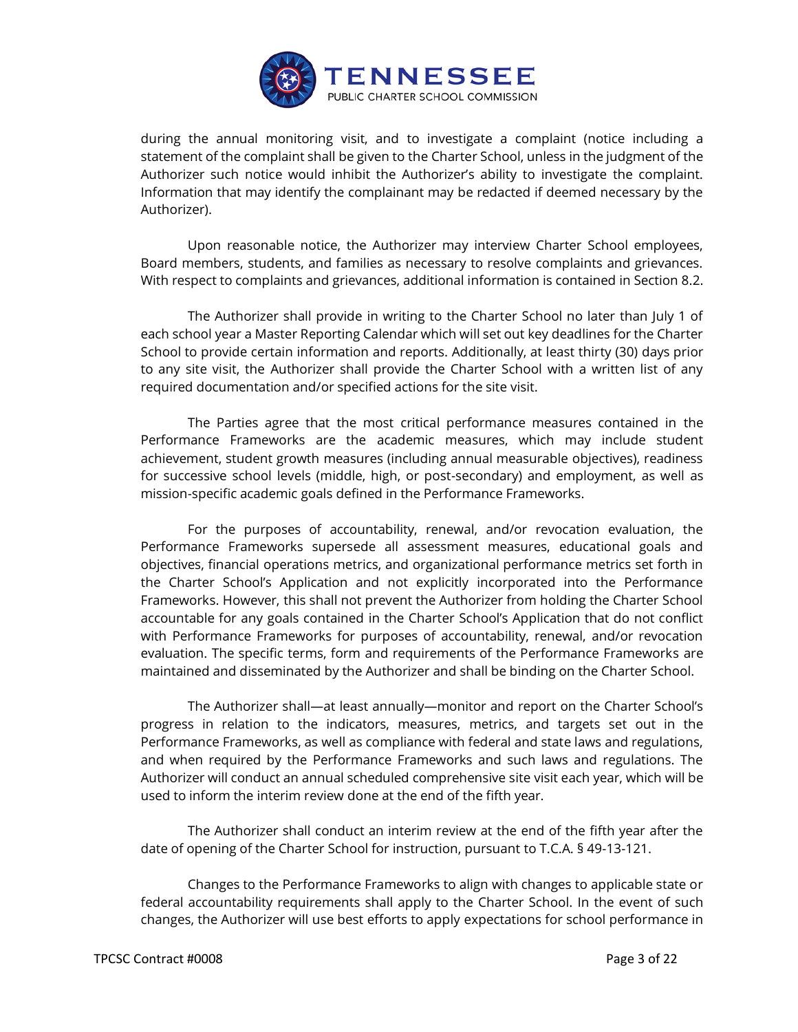

during the annual monitoring visit, and to investigate a complaint (notice including a statement of the complaint shall be given to the Charter School, unless in the judgment of the Authorizer such notice would inhibit the Authorizer's ability to investigate the complaint. Information that may identify the complainant may be redacted if deemed necessary by the Authorizer).

Upon reasonable notice, the Authorizer may interview Charter School employees, Board members, students, and families as necessary to resolve complaints and grievances. With respect to complaints and grievances, additional information is contained in Section 8.2.

The Authorizer shall provide in writing to the Charter School no later than July 1 of each school year a Master Reporting Calendar which will set out key deadlines for the Charter School to provide certain information and reports. Additionally, at least thirty (30) days prior to any site visit, the Authorizer shall provide the Charter School with a written list of any required documentation and/or specified actions for the site visit.

The Parties agree that the most critical performance measures contained in the Performance Frameworks are the academic measures, which may include student achievement, student growth measures (including annual measurable objectives), readiness for successive school levels (middle, high, or post-secondary) and employment, as well as mission-specific academic goals defined in the Performance Frameworks.

For the purposes of accountability, renewal, and/or revocation evaluation, the Performance Frameworks supersede all assessment measures, educational goals and objectives, financial operations metrics, and organizational performance metrics set forth in the Charter School's Application and not explicitly incorporated into the Performance Frameworks. However, this shall not prevent the Authorizer from holding the Charter School accountable for any goals contained in the Charter School's Application that do not conflict with Performance Frameworks for purposes of accountability, renewal, and/or revocation evaluation. The specific terms, form and requirements of the Performance Frameworks are maintained and disseminated by the Authorizer and shall be binding on the Charter School.

The Authorizer shall—at least annually—monitor and report on the Charter School's progress in relation to the indicators, measures, metrics, and targets set out in the Performance Frameworks, as well as compliance with federal and state laws and regulations, and when required by the Performance Frameworks and such laws and regulations. The Authorizer will conduct an annual scheduled comprehensive site visit each year, which will be used to inform the interim review done at the end of the fifth year.

The Authorizer shall conduct an interim review at the end of the fifth year after the date of opening of the Charter School for instruction, pursuant to T.C.A. § 49-13-121.

Changes to the Performance Frameworks to align with changes to applicable state or federal accountability requirements shall apply to the Charter School. In the event of such changes, the Authorizer will use best efforts to apply expectations for school performance in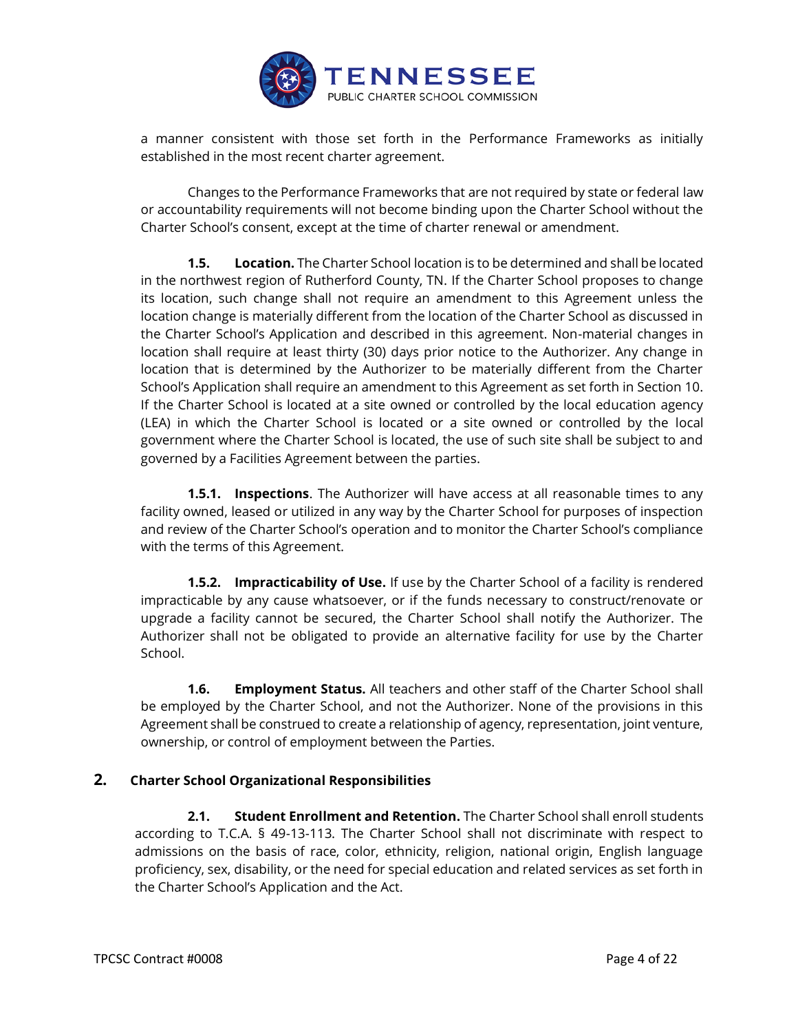

a manner consistent with those set forth in the Performance Frameworks as initially established in the most recent charter agreement.

Changes to the Performance Frameworks that are not required by state or federal law or accountability requirements will not become binding upon the Charter School without the Charter School's consent, except at the time of charter renewal or amendment.

**1.5. Location.** The Charter School location is to be determined and shall be located in the northwest region of Rutherford County, TN. If the Charter School proposes to change its location, such change shall not require an amendment to this Agreement unless the location change is materially different from the location of the Charter School as discussed in the Charter School's Application and described in this agreement. Non-material changes in location shall require at least thirty (30) days prior notice to the Authorizer. Any change in location that is determined by the Authorizer to be materially different from the Charter School's Application shall require an amendment to this Agreement as set forth in Section 10. If the Charter School is located at a site owned or controlled by the local education agency (LEA) in which the Charter School is located or a site owned or controlled by the local government where the Charter School is located, the use of such site shall be subject to and governed by a Facilities Agreement between the parties.

**1.5.1. Inspections**. The Authorizer will have access at all reasonable times to any facility owned, leased or utilized in any way by the Charter School for purposes of inspection and review of the Charter School's operation and to monitor the Charter School's compliance with the terms of this Agreement.

**1.5.2. Impracticability of Use.** If use by the Charter School of a facility is rendered impracticable by any cause whatsoever, or if the funds necessary to construct/renovate or upgrade a facility cannot be secured, the Charter School shall notify the Authorizer. The Authorizer shall not be obligated to provide an alternative facility for use by the Charter School.

**1.6. Employment Status.** All teachers and other staff of the Charter School shall be employed by the Charter School, and not the Authorizer. None of the provisions in this Agreement shall be construed to create a relationship of agency, representation, joint venture, ownership, or control of employment between the Parties.

# **2. Charter School Organizational Responsibilities**

**2.1. Student Enrollment and Retention.** The Charter School shall enroll students according to T.C.A. § 49-13-113. The Charter School shall not discriminate with respect to admissions on the basis of race, color, ethnicity, religion, national origin, English language proficiency, sex, disability, or the need for special education and related services as set forth in the Charter School's Application and the Act.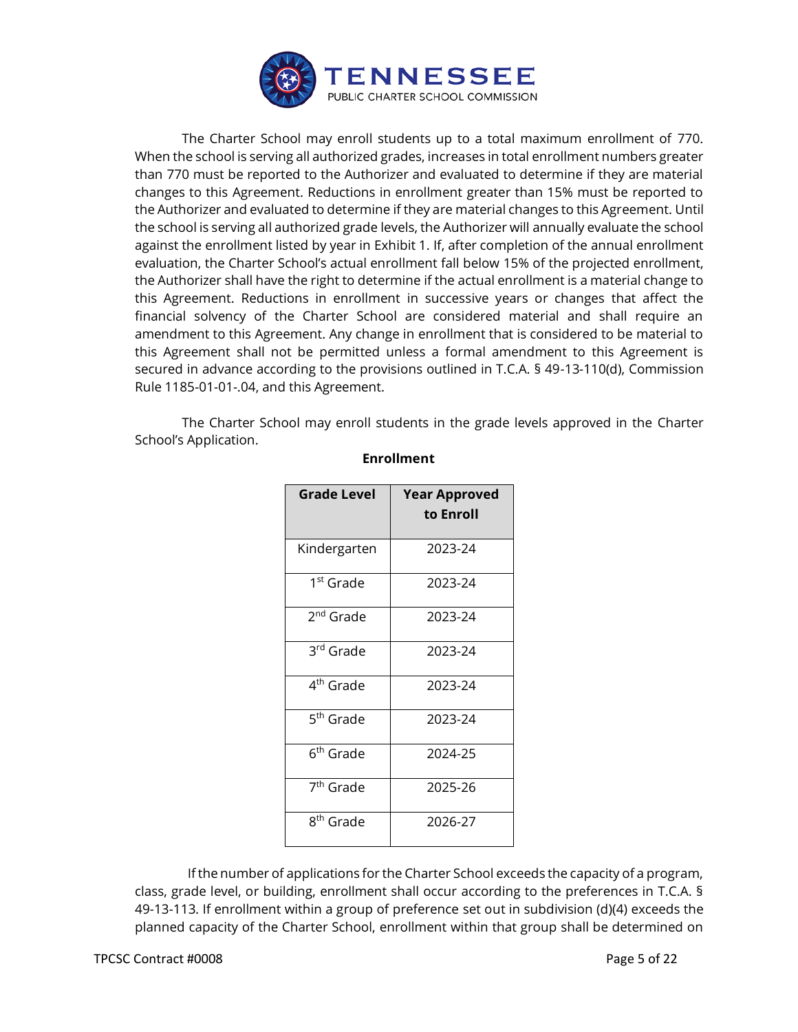

The Charter School may enroll students up to a total maximum enrollment of 770. When the school is serving all authorized grades, increases in total enrollment numbers greater than 770 must be reported to the Authorizer and evaluated to determine if they are material changes to this Agreement. Reductions in enrollment greater than 15% must be reported to the Authorizer and evaluated to determine if they are material changes to this Agreement. Until the school is serving all authorized grade levels, the Authorizer will annually evaluate the school against the enrollment listed by year in Exhibit 1. If, after completion of the annual enrollment evaluation, the Charter School's actual enrollment fall below 15% of the projected enrollment, the Authorizer shall have the right to determine if the actual enrollment is a material change to this Agreement. Reductions in enrollment in successive years or changes that affect the financial solvency of the Charter School are considered material and shall require an amendment to this Agreement. Any change in enrollment that is considered to be material to this Agreement shall not be permitted unless a formal amendment to this Agreement is secured in advance according to the provisions outlined in T.C.A. § 49-13-110(d), Commission Rule 1185-01-01-.04, and this Agreement.

The Charter School may enroll students in the grade levels approved in the Charter School's Application.

| <b>Grade Level</b>    | <b>Year Approved</b><br>to Enroll |
|-----------------------|-----------------------------------|
| Kindergarten          | 2023-24                           |
| 1 <sup>st</sup> Grade | 2023-24                           |
| 2 <sup>nd</sup> Grade | 2023-24                           |
| 3rd Grade             | 2023-24                           |
| 4 <sup>th</sup> Grade | 2023-24                           |
| 5 <sup>th</sup> Grade | 2023-24                           |
| 6 <sup>th</sup> Grade | 2024-25                           |
| 7 <sup>th</sup> Grade | 2025-26                           |
| 8 <sup>th</sup> Grade | 2026-27                           |

## **Enrollment**

If the number of applications for the Charter School exceeds the capacity of a program, class, grade level, or building, enrollment shall occur according to the preferences in T.C.A. § 49-13-113. If enrollment within a group of preference set out in subdivision (d)(4) exceeds the planned capacity of the Charter School, enrollment within that group shall be determined on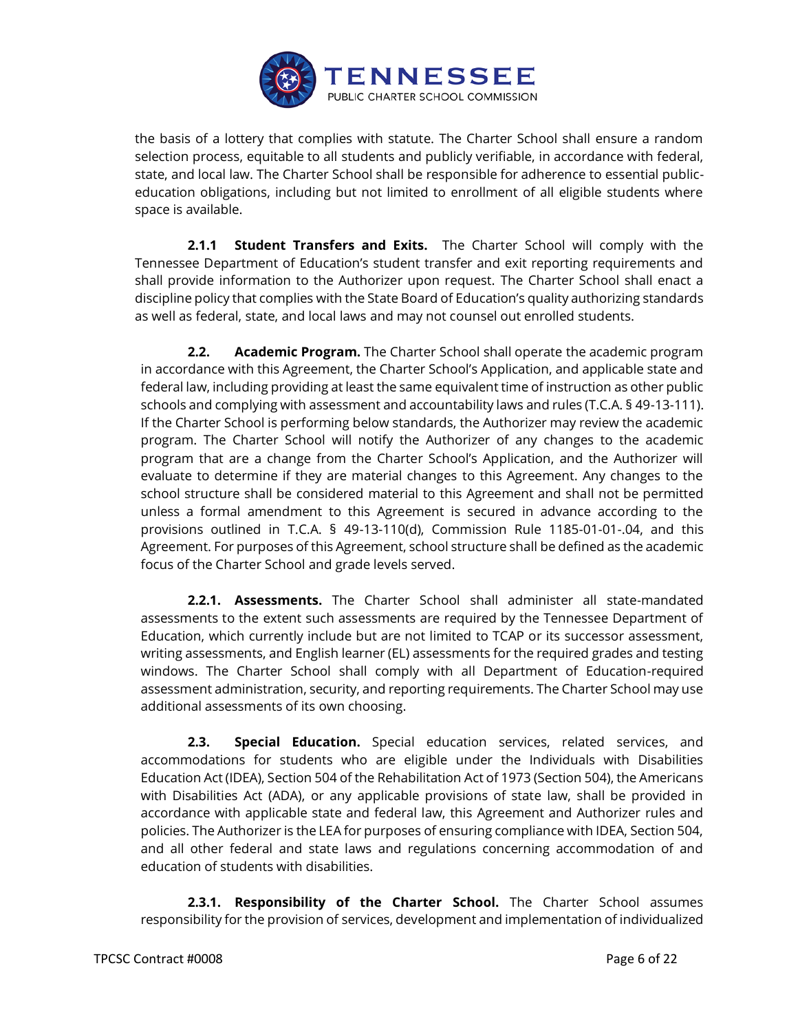

the basis of a lottery that complies with statute. The Charter School shall ensure a random selection process, equitable to all students and publicly verifiable, in accordance with federal, state, and local law. The Charter School shall be responsible for adherence to essential publiceducation obligations, including but not limited to enrollment of all eligible students where space is available.

**2.1.1 Student Transfers and Exits.** The Charter School will comply with the Tennessee Department of Education's student transfer and exit reporting requirements and shall provide information to the Authorizer upon request. The Charter School shall enact a discipline policy that complies with the State Board of Education's quality authorizing standards as well as federal, state, and local laws and may not counsel out enrolled students.

**2.2. Academic Program.** The Charter School shall operate the academic program in accordance with this Agreement, the Charter School's Application, and applicable state and federal law, including providing at least the same equivalent time of instruction as other public schools and complying with assessment and accountability laws and rules (T.C.A. § 49-13-111). If the Charter School is performing below standards, the Authorizer may review the academic program. The Charter School will notify the Authorizer of any changes to the academic program that are a change from the Charter School's Application, and the Authorizer will evaluate to determine if they are material changes to this Agreement. Any changes to the school structure shall be considered material to this Agreement and shall not be permitted unless a formal amendment to this Agreement is secured in advance according to the provisions outlined in T.C.A. § 49-13-110(d), Commission Rule 1185-01-01-.04, and this Agreement. For purposes of this Agreement, school structure shall be defined as the academic focus of the Charter School and grade levels served.

**2.2.1. Assessments.** The Charter School shall administer all state-mandated assessments to the extent such assessments are required by the Tennessee Department of Education, which currently include but are not limited to TCAP or its successor assessment, writing assessments, and English learner (EL) assessments for the required grades and testing windows. The Charter School shall comply with all Department of Education-required assessment administration, security, and reporting requirements. The Charter School may use additional assessments of its own choosing.

**2.3. Special Education.** Special education services, related services, and accommodations for students who are eligible under the Individuals with Disabilities Education Act (IDEA), Section 504 of the Rehabilitation Act of 1973 (Section 504), the Americans with Disabilities Act (ADA), or any applicable provisions of state law, shall be provided in accordance with applicable state and federal law, this Agreement and Authorizer rules and policies. The Authorizer is the LEA for purposes of ensuring compliance with IDEA, Section 504, and all other federal and state laws and regulations concerning accommodation of and education of students with disabilities.

**2.3.1. Responsibility of the Charter School.** The Charter School assumes responsibility for the provision of services, development and implementation of individualized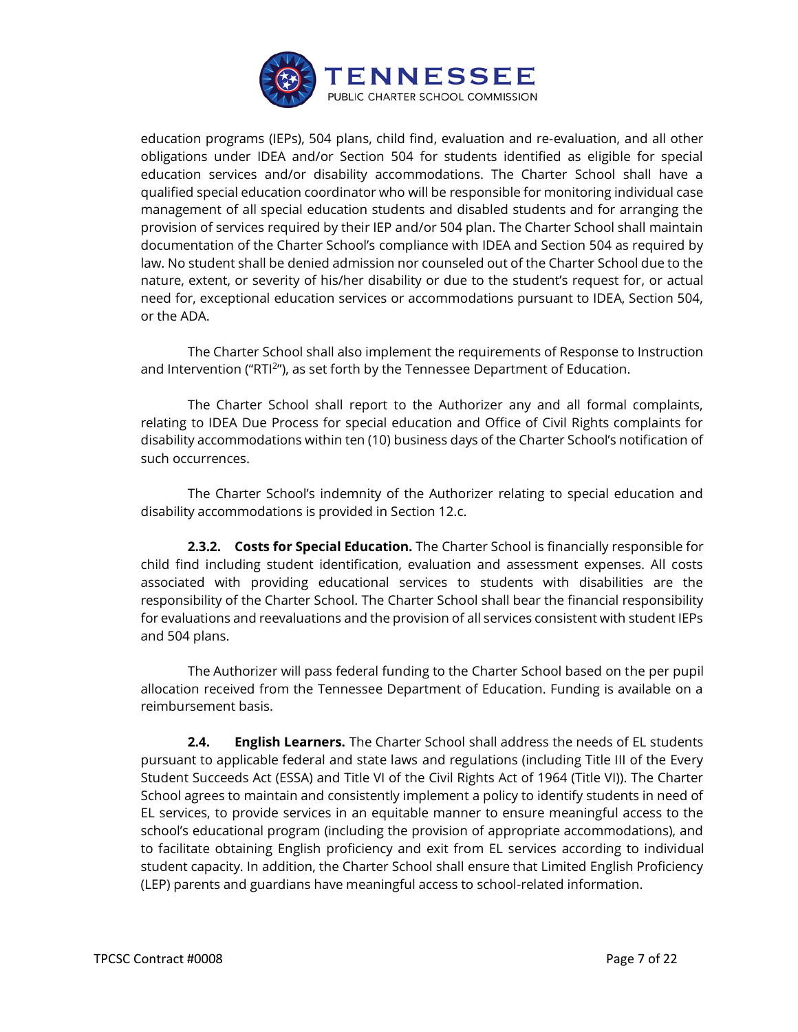

education programs (IEPs), 504 plans, child find, evaluation and re-evaluation, and all other obligations under IDEA and/or Section 504 for students identified as eligible for special education services and/or disability accommodations. The Charter School shall have a qualified special education coordinator who will be responsible for monitoring individual case management of all special education students and disabled students and for arranging the provision of services required by their IEP and/or 504 plan. The Charter School shall maintain documentation of the Charter School's compliance with IDEA and Section 504 as required by law. No student shall be denied admission nor counseled out of the Charter School due to the nature, extent, or severity of his/her disability or due to the student's request for, or actual need for, exceptional education services or accommodations pursuant to IDEA, Section 504, or the ADA.

The Charter School shall also implement the requirements of Response to Instruction and Intervention ("RTI<sup>2</sup>"), as set forth by the Tennessee Department of Education.

The Charter School shall report to the Authorizer any and all formal complaints, relating to IDEA Due Process for special education and Office of Civil Rights complaints for disability accommodations within ten (10) business days of the Charter School's notification of such occurrences.

The Charter School's indemnity of the Authorizer relating to special education and disability accommodations is provided in Section 12.c.

**2.3.2. Costs for Special Education.** The Charter School is financially responsible for child find including student identification, evaluation and assessment expenses. All costs associated with providing educational services to students with disabilities are the responsibility of the Charter School. The Charter School shall bear the financial responsibility for evaluations and reevaluations and the provision of all services consistent with student IEPs and 504 plans.

The Authorizer will pass federal funding to the Charter School based on the per pupil allocation received from the Tennessee Department of Education. Funding is available on a reimbursement basis.

**2.4. English Learners.** The Charter School shall address the needs of EL students pursuant to applicable federal and state laws and regulations (including Title III of the Every Student Succeeds Act (ESSA) and Title VI of the Civil Rights Act of 1964 (Title VI)). The Charter School agrees to maintain and consistently implement a policy to identify students in need of EL services, to provide services in an equitable manner to ensure meaningful access to the school's educational program (including the provision of appropriate accommodations), and to facilitate obtaining English proficiency and exit from EL services according to individual student capacity. In addition, the Charter School shall ensure that Limited English Proficiency (LEP) parents and guardians have meaningful access to school-related information.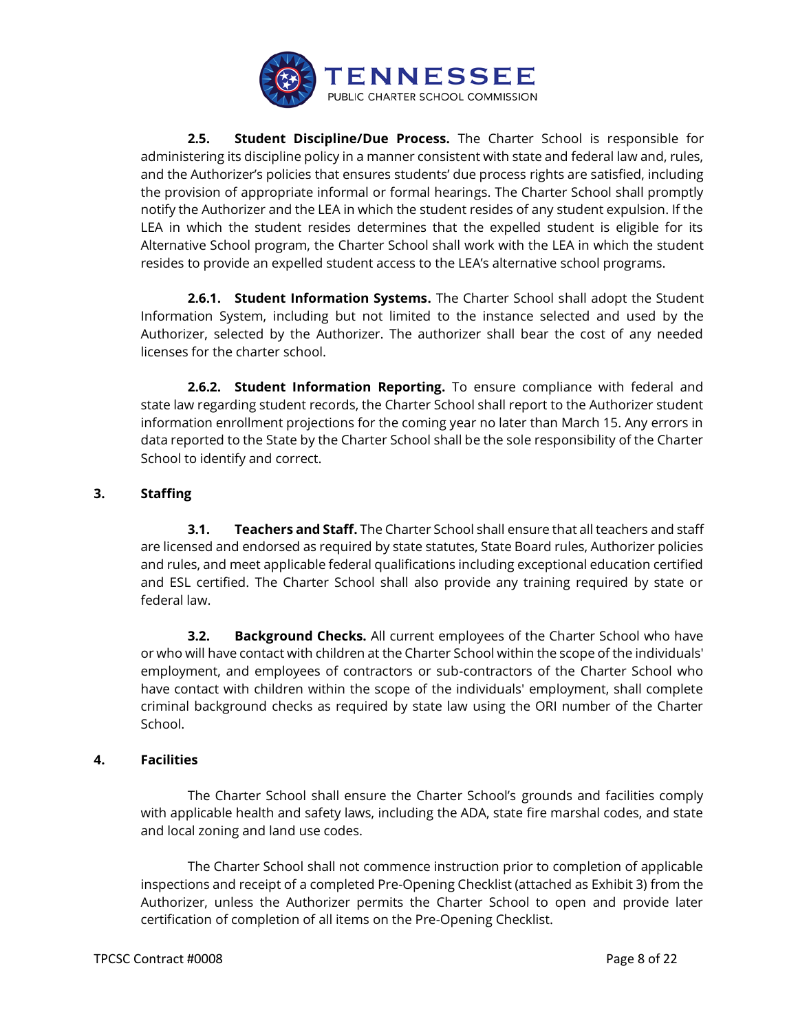

**2.5. Student Discipline/Due Process.** The Charter School is responsible for administering its discipline policy in a manner consistent with state and federal law and, rules, and the Authorizer's policies that ensures students' due process rights are satisfied, including the provision of appropriate informal or formal hearings. The Charter School shall promptly notify the Authorizer and the LEA in which the student resides of any student expulsion. If the LEA in which the student resides determines that the expelled student is eligible for its Alternative School program, the Charter School shall work with the LEA in which the student resides to provide an expelled student access to the LEA's alternative school programs.

**2.6.1. Student Information Systems.** The Charter School shall adopt the Student Information System, including but not limited to the instance selected and used by the Authorizer, selected by the Authorizer. The authorizer shall bear the cost of any needed licenses for the charter school.

**2.6.2. Student Information Reporting.** To ensure compliance with federal and state law regarding student records, the Charter School shall report to the Authorizer student information enrollment projections for the coming year no later than March 15. Any errors in data reported to the State by the Charter School shall be the sole responsibility of the Charter School to identify and correct.

## **3. Staffing**

**3.1. Teachers and Staff.** The Charter School shall ensure that all teachers and staff are licensed and endorsed as required by state statutes, State Board rules, Authorizer policies and rules, and meet applicable federal qualifications including exceptional education certified and ESL certified. The Charter School shall also provide any training required by state or federal law.

**3.2. Background Checks.** All current employees of the Charter School who have or who will have contact with children at the Charter School within the scope of the individuals' employment, and employees of contractors or sub-contractors of the Charter School who have contact with children within the scope of the individuals' employment, shall complete criminal background checks as required by state law using the ORI number of the Charter School.

#### **4. Facilities**

The Charter School shall ensure the Charter School's grounds and facilities comply with applicable health and safety laws, including the ADA, state fire marshal codes, and state and local zoning and land use codes.

The Charter School shall not commence instruction prior to completion of applicable inspections and receipt of a completed Pre-Opening Checklist (attached as Exhibit 3) from the Authorizer, unless the Authorizer permits the Charter School to open and provide later certification of completion of all items on the Pre-Opening Checklist.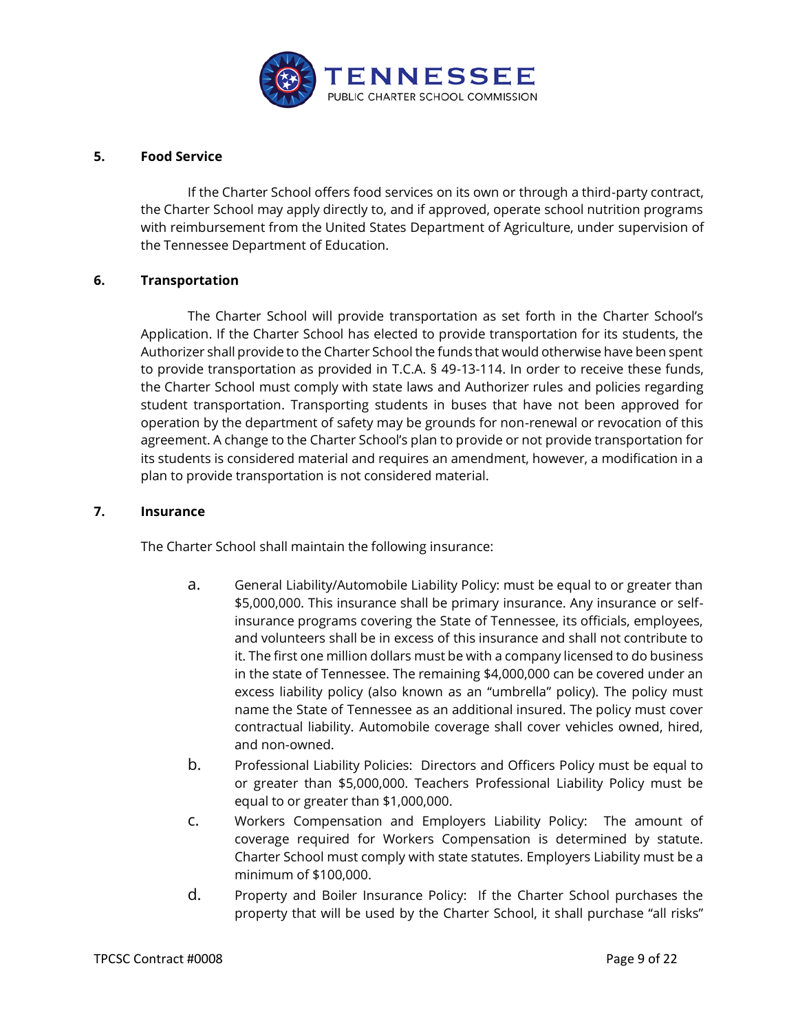

## **5. Food Service**

If the Charter School offers food services on its own or through a third-party contract, the Charter School may apply directly to, and if approved, operate school nutrition programs with reimbursement from the United States Department of Agriculture, under supervision of the Tennessee Department of Education.

## **6. Transportation**

The Charter School will provide transportation as set forth in the Charter School's Application. If the Charter School has elected to provide transportation for its students, the Authorizer shall provide to the Charter School the funds that would otherwise have been spent to provide transportation as provided in T.C.A. § 49-13-114. In order to receive these funds, the Charter School must comply with state laws and Authorizer rules and policies regarding student transportation. Transporting students in buses that have not been approved for operation by the department of safety may be grounds for non-renewal or revocation of this agreement. A change to the Charter School's plan to provide or not provide transportation for its students is considered material and requires an amendment, however, a modification in a plan to provide transportation is not considered material.

#### **7. Insurance**

The Charter School shall maintain the following insurance:

- a. General Liability/Automobile Liability Policy: must be equal to or greater than \$5,000,000. This insurance shall be primary insurance. Any insurance or selfinsurance programs covering the State of Tennessee, its officials, employees, and volunteers shall be in excess of this insurance and shall not contribute to it. The first one million dollars must be with a company licensed to do business in the state of Tennessee. The remaining \$4,000,000 can be covered under an excess liability policy (also known as an "umbrella" policy). The policy must name the State of Tennessee as an additional insured. The policy must cover contractual liability. Automobile coverage shall cover vehicles owned, hired, and non-owned.
- b. Professional Liability Policies: Directors and Officers Policy must be equal to or greater than \$5,000,000. Teachers Professional Liability Policy must be equal to or greater than \$1,000,000.
- c. Workers Compensation and Employers Liability Policy: The amount of coverage required for Workers Compensation is determined by statute. Charter School must comply with state statutes. Employers Liability must be a minimum of \$100,000.
- d. Property and Boiler Insurance Policy: If the Charter School purchases the property that will be used by the Charter School, it shall purchase "all risks"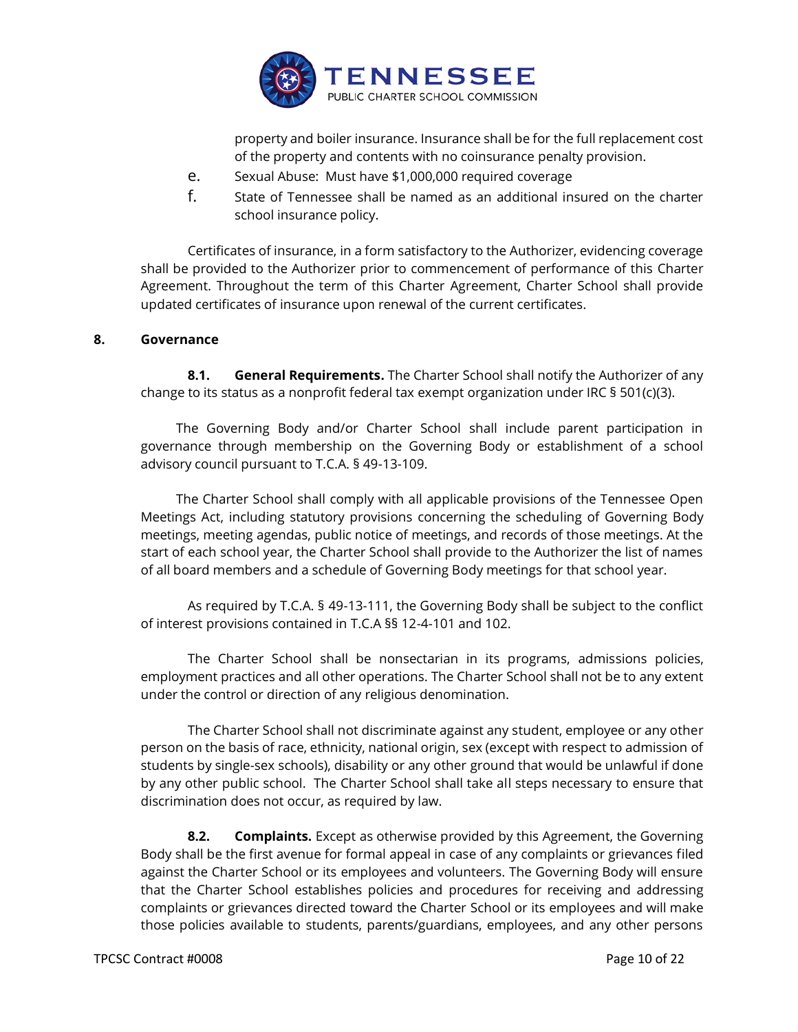

property and boiler insurance. Insurance shall be for the full replacement cost of the property and contents with no coinsurance penalty provision.

- e. Sexual Abuse: Must have \$1,000,000 required coverage
- f. State of Tennessee shall be named as an additional insured on the charter school insurance policy.

Certificates of insurance, in a form satisfactory to the Authorizer, evidencing coverage shall be provided to the Authorizer prior to commencement of performance of this Charter Agreement. Throughout the term of this Charter Agreement, Charter School shall provide updated certificates of insurance upon renewal of the current certificates.

## **8. Governance**

**8.1. General Requirements.** The Charter School shall notify the Authorizer of any change to its status as a nonprofit federal tax exempt organization under IRC  $\S$  501(c)(3).

The Governing Body and/or Charter School shall include parent participation in governance through membership on the Governing Body or establishment of a school advisory council pursuant to T.C.A. § 49-13-109.

The Charter School shall comply with all applicable provisions of the Tennessee Open Meetings Act, including statutory provisions concerning the scheduling of Governing Body meetings, meeting agendas, public notice of meetings, and records of those meetings. At the start of each school year, the Charter School shall provide to the Authorizer the list of names of all board members and a schedule of Governing Body meetings for that school year.

As required by T.C.A. § 49-13-111, the Governing Body shall be subject to the conflict of interest provisions contained in T.C.A §§ 12-4-101 and 102.

The Charter School shall be nonsectarian in its programs, admissions policies, employment practices and all other operations. The Charter School shall not be to any extent under the control or direction of any religious denomination.

The Charter School shall not discriminate against any student, employee or any other person on the basis of race, ethnicity, national origin, sex (except with respect to admission of students by single-sex schools), disability or any other ground that would be unlawful if done by any other public school. The Charter School shall take all steps necessary to ensure that discrimination does not occur, as required by law.

**8.2. Complaints.** Except as otherwise provided by this Agreement, the Governing Body shall be the first avenue for formal appeal in case of any complaints or grievances filed against the Charter School or its employees and volunteers. The Governing Body will ensure that the Charter School establishes policies and procedures for receiving and addressing complaints or grievances directed toward the Charter School or its employees and will make those policies available to students, parents/guardians, employees, and any other persons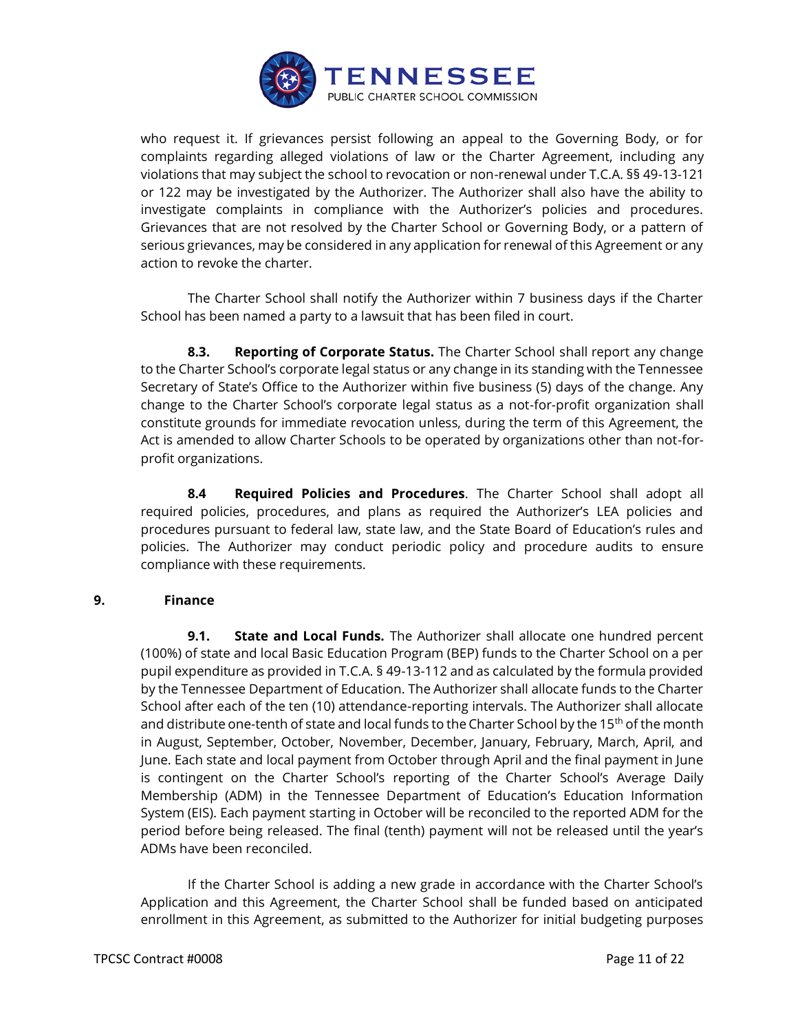

who request it. If grievances persist following an appeal to the Governing Body, or for complaints regarding alleged violations of law or the Charter Agreement, including any violations that may subject the school to revocation or non-renewal under T.C.A. §§ 49-13-121 or 122 may be investigated by the Authorizer. The Authorizer shall also have the ability to investigate complaints in compliance with the Authorizer's policies and procedures. Grievances that are not resolved by the Charter School or Governing Body, or a pattern of serious grievances, may be considered in any application for renewal of this Agreement or any action to revoke the charter.

The Charter School shall notify the Authorizer within 7 business days if the Charter School has been named a party to a lawsuit that has been filed in court.

**8.3. Reporting of Corporate Status.** The Charter School shall report any change to the Charter School's corporate legal status or any change in its standing with the Tennessee Secretary of State's Office to the Authorizer within five business (5) days of the change. Any change to the Charter School's corporate legal status as a not-for-profit organization shall constitute grounds for immediate revocation unless, during the term of this Agreement, the Act is amended to allow Charter Schools to be operated by organizations other than not-forprofit organizations.

**8.4 Required Policies and Procedures**. The Charter School shall adopt all required policies, procedures, and plans as required the Authorizer's LEA policies and procedures pursuant to federal law, state law, and the State Board of Education's rules and policies. The Authorizer may conduct periodic policy and procedure audits to ensure compliance with these requirements.

# **9. Finance**

**9.1.** State and Local Funds. The Authorizer shall allocate one hundred percent (100%) of state and local Basic Education Program (BEP) funds to the Charter School on a per pupil expenditure as provided in T.C.A. § 49-13-112 and as calculated by the formula provided by the Tennessee Department of Education. The Authorizer shall allocate funds to the Charter School after each of the ten (10) attendance-reporting intervals. The Authorizer shall allocate and distribute one-tenth of state and local funds to the Charter School by the 15<sup>th</sup> of the month in August, September, October, November, December, January, February, March, April, and June. Each state and local payment from October through April and the final payment in June is contingent on the Charter School's reporting of the Charter School's Average Daily Membership (ADM) in the Tennessee Department of Education's Education Information System (EIS). Each payment starting in October will be reconciled to the reported ADM for the period before being released. The final (tenth) payment will not be released until the year's ADMs have been reconciled.

If the Charter School is adding a new grade in accordance with the Charter School's Application and this Agreement, the Charter School shall be funded based on anticipated enrollment in this Agreement, as submitted to the Authorizer for initial budgeting purposes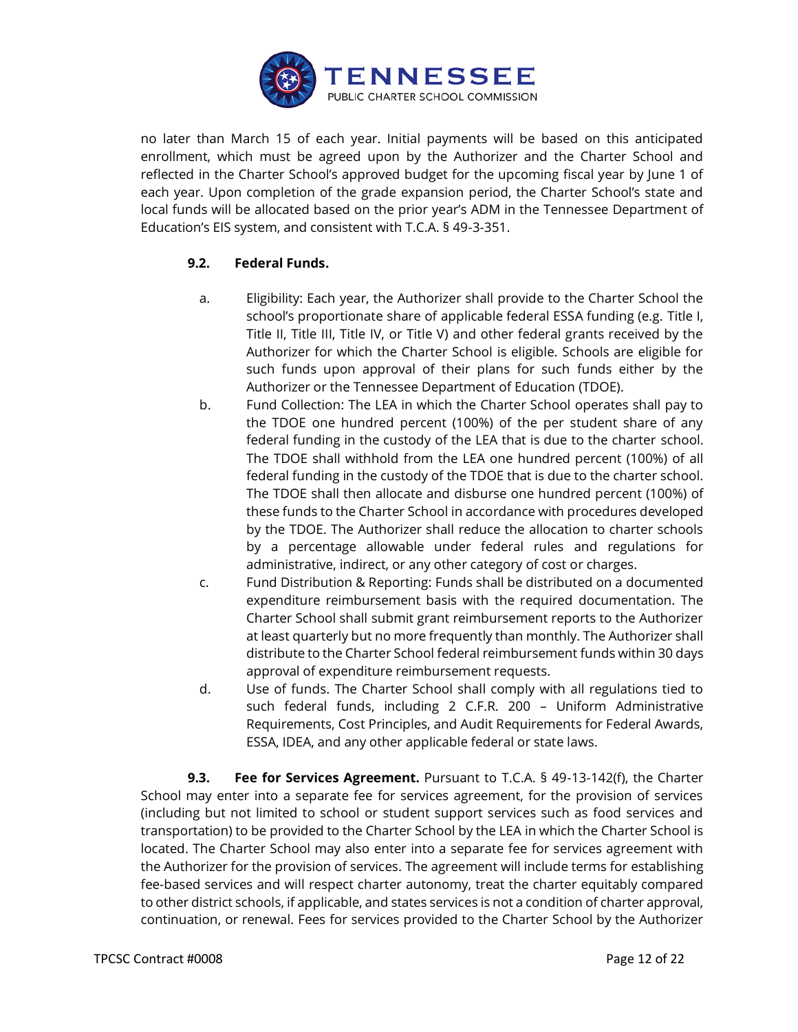

no later than March 15 of each year. Initial payments will be based on this anticipated enrollment, which must be agreed upon by the Authorizer and the Charter School and reflected in the Charter School's approved budget for the upcoming fiscal year by June 1 of each year. Upon completion of the grade expansion period, the Charter School's state and local funds will be allocated based on the prior year's ADM in the Tennessee Department of Education's EIS system, and consistent with T.C.A. § 49-3-351.

# **9.2. Federal Funds.**

- a. Eligibility: Each year, the Authorizer shall provide to the Charter School the school's proportionate share of applicable federal ESSA funding (e.g. Title I, Title II, Title III, Title IV, or Title V) and other federal grants received by the Authorizer for which the Charter School is eligible. Schools are eligible for such funds upon approval of their plans for such funds either by the Authorizer or the Tennessee Department of Education (TDOE).
- b. Fund Collection: The LEA in which the Charter School operates shall pay to the TDOE one hundred percent (100%) of the per student share of any federal funding in the custody of the LEA that is due to the charter school. The TDOE shall withhold from the LEA one hundred percent (100%) of all federal funding in the custody of the TDOE that is due to the charter school. The TDOE shall then allocate and disburse one hundred percent (100%) of these funds to the Charter School in accordance with procedures developed by the TDOE. The Authorizer shall reduce the allocation to charter schools by a percentage allowable under federal rules and regulations for administrative, indirect, or any other category of cost or charges.
- c. Fund Distribution & Reporting: Funds shall be distributed on a documented expenditure reimbursement basis with the required documentation. The Charter School shall submit grant reimbursement reports to the Authorizer at least quarterly but no more frequently than monthly. The Authorizer shall distribute to the Charter School federal reimbursement funds within 30 days approval of expenditure reimbursement requests.
- d. Use of funds. The Charter School shall comply with all regulations tied to such federal funds, including 2 C.F.R. 200 – Uniform Administrative Requirements, Cost Principles, and Audit Requirements for Federal Awards, ESSA, IDEA, and any other applicable federal or state laws.

**9.3. Fee for Services Agreement.** Pursuant to T.C.A. § 49-13-142(f), the Charter School may enter into a separate fee for services agreement, for the provision of services (including but not limited to school or student support services such as food services and transportation) to be provided to the Charter School by the LEA in which the Charter School is located. The Charter School may also enter into a separate fee for services agreement with the Authorizer for the provision of services. The agreement will include terms for establishing fee-based services and will respect charter autonomy, treat the charter equitably compared to other district schools, if applicable, and states services is not a condition of charter approval, continuation, or renewal. Fees for services provided to the Charter School by the Authorizer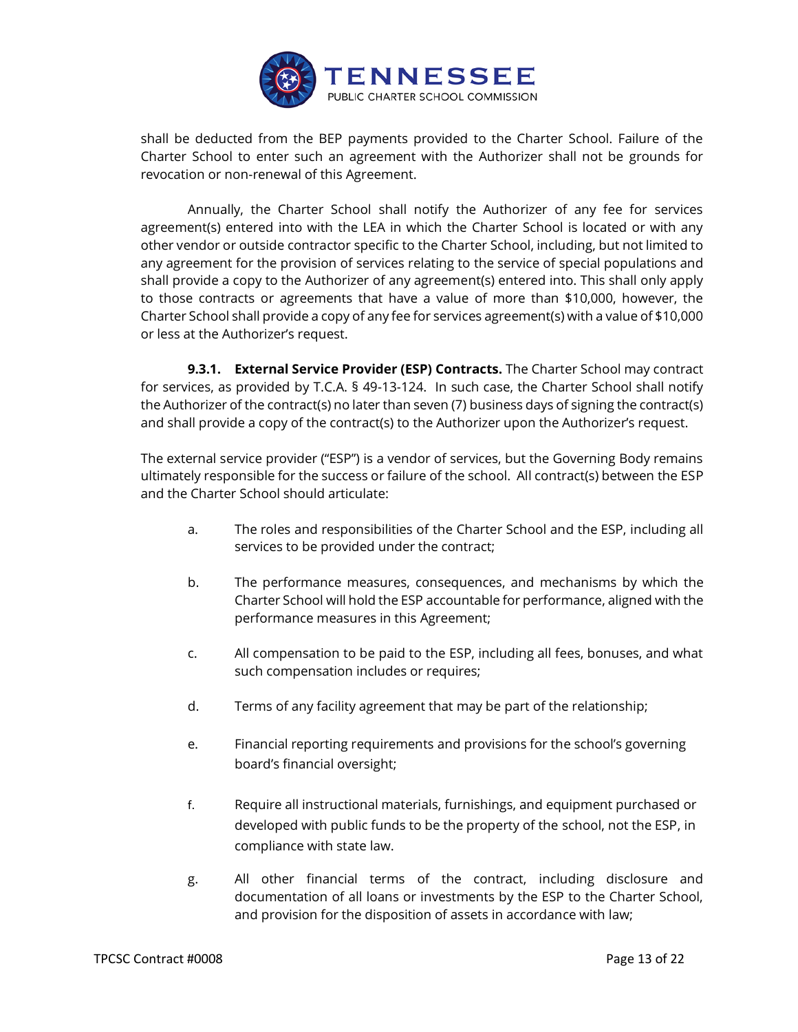

shall be deducted from the BEP payments provided to the Charter School. Failure of the Charter School to enter such an agreement with the Authorizer shall not be grounds for revocation or non-renewal of this Agreement.

Annually, the Charter School shall notify the Authorizer of any fee for services agreement(s) entered into with the LEA in which the Charter School is located or with any other vendor or outside contractor specific to the Charter School, including, but not limited to any agreement for the provision of services relating to the service of special populations and shall provide a copy to the Authorizer of any agreement(s) entered into. This shall only apply to those contracts or agreements that have a value of more than \$10,000, however, the Charter School shall provide a copy of any fee for services agreement(s) with a value of \$10,000 or less at the Authorizer's request.

**9.3.1. External Service Provider (ESP) Contracts.** The Charter School may contract for services, as provided by T.C.A. § 49-13-124. In such case, the Charter School shall notify the Authorizer of the contract(s) no later than seven (7) business days of signing the contract(s) and shall provide a copy of the contract(s) to the Authorizer upon the Authorizer's request.

The external service provider ("ESP") is a vendor of services, but the Governing Body remains ultimately responsible for the success or failure of the school. All contract(s) between the ESP and the Charter School should articulate:

- a. The roles and responsibilities of the Charter School and the ESP, including all services to be provided under the contract;
- b. The performance measures, consequences, and mechanisms by which the Charter School will hold the ESP accountable for performance, aligned with the performance measures in this Agreement;
- c. All compensation to be paid to the ESP, including all fees, bonuses, and what such compensation includes or requires;
- d. Terms of any facility agreement that may be part of the relationship;
- e. Financial reporting requirements and provisions for the school's governing board's financial oversight;
- f. Require all instructional materials, furnishings, and equipment purchased or developed with public funds to be the property of the school, not the ESP, in compliance with state law.
- g. All other financial terms of the contract, including disclosure and documentation of all loans or investments by the ESP to the Charter School, and provision for the disposition of assets in accordance with law;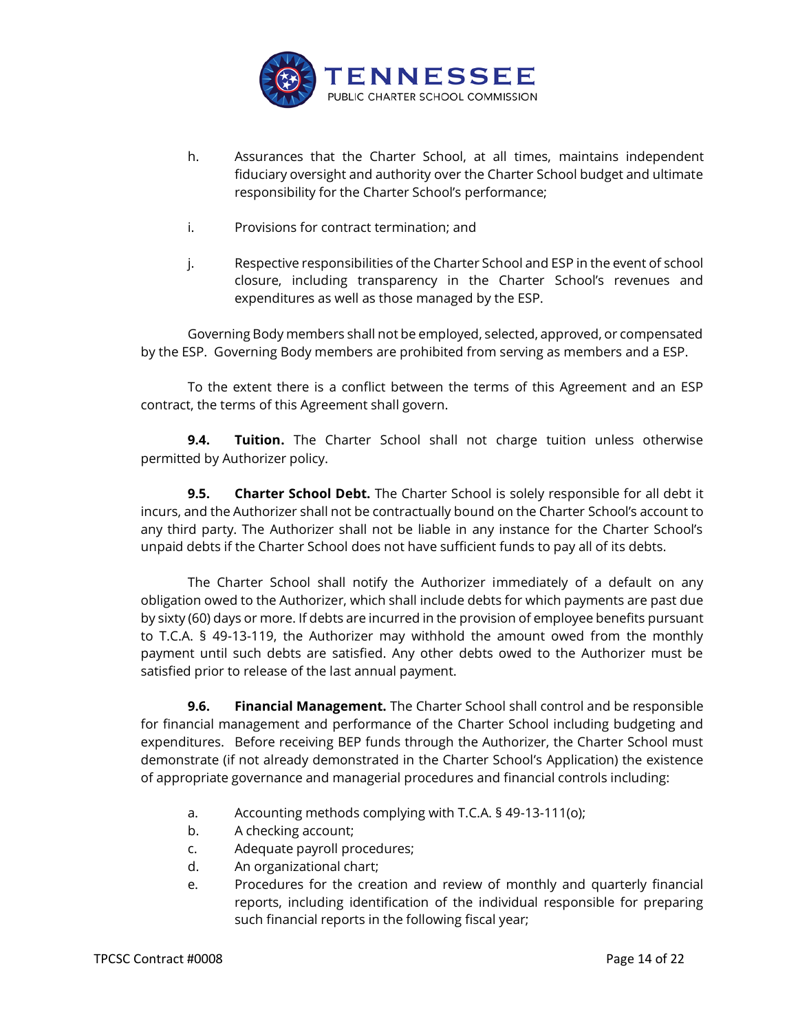

- h. Assurances that the Charter School, at all times, maintains independent fiduciary oversight and authority over the Charter School budget and ultimate responsibility for the Charter School's performance;
- i. Provisions for contract termination; and
- j. Respective responsibilities of the Charter School and ESP in the event of school closure, including transparency in the Charter School's revenues and expenditures as well as those managed by the ESP.

Governing Body members shall not be employed, selected, approved, or compensated by the ESP. Governing Body members are prohibited from serving as members and a ESP.

To the extent there is a conflict between the terms of this Agreement and an ESP contract, the terms of this Agreement shall govern.

**9.4. Tuition.** The Charter School shall not charge tuition unless otherwise permitted by Authorizer policy.

**9.5. Charter School Debt.** The Charter School is solely responsible for all debt it incurs, and the Authorizer shall not be contractually bound on the Charter School's account to any third party. The Authorizer shall not be liable in any instance for the Charter School's unpaid debts if the Charter School does not have sufficient funds to pay all of its debts.

The Charter School shall notify the Authorizer immediately of a default on any obligation owed to the Authorizer, which shall include debts for which payments are past due by sixty (60) days or more. If debts are incurred in the provision of employee benefits pursuant to T.C.A. § 49-13-119, the Authorizer may withhold the amount owed from the monthly payment until such debts are satisfied. Any other debts owed to the Authorizer must be satisfied prior to release of the last annual payment.

**9.6. Financial Management.** The Charter School shall control and be responsible for financial management and performance of the Charter School including budgeting and expenditures. Before receiving BEP funds through the Authorizer, the Charter School must demonstrate (if not already demonstrated in the Charter School's Application) the existence of appropriate governance and managerial procedures and financial controls including:

- a. Accounting methods complying with T.C.A. § 49-13-111(o);
- b. A checking account;
- c. Adequate payroll procedures;
- d. An organizational chart;
- e. Procedures for the creation and review of monthly and quarterly financial reports, including identification of the individual responsible for preparing such financial reports in the following fiscal year;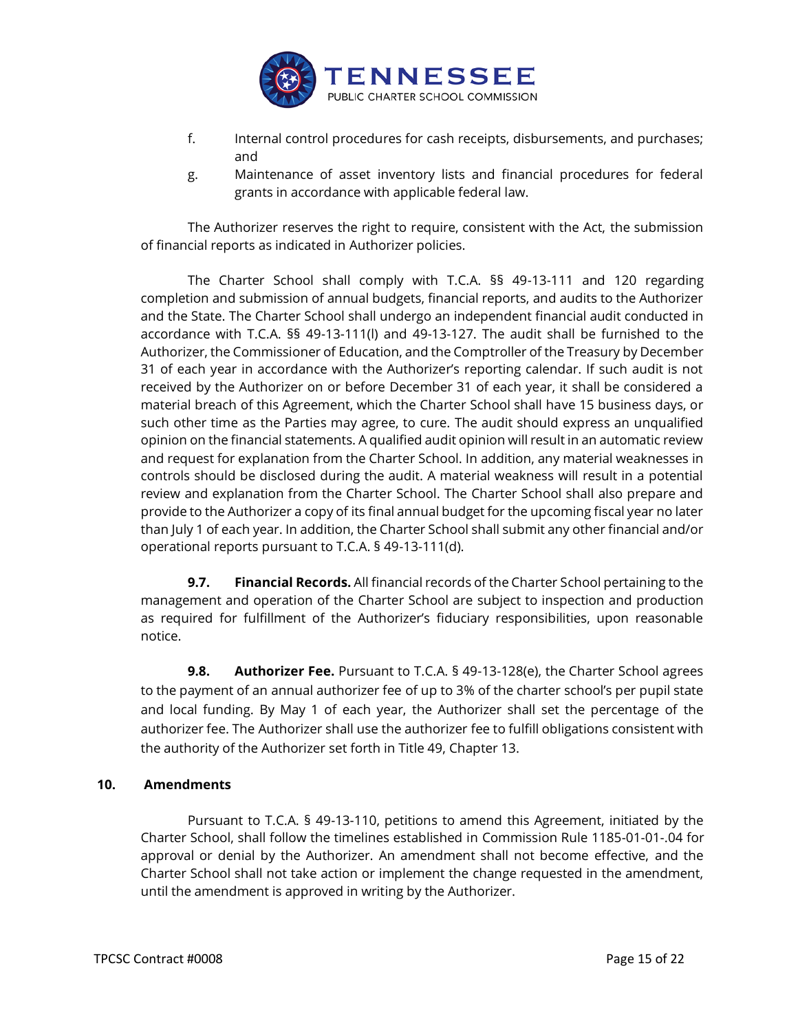

- f. Internal control procedures for cash receipts, disbursements, and purchases; and
- g. Maintenance of asset inventory lists and financial procedures for federal grants in accordance with applicable federal law.

The Authorizer reserves the right to require, consistent with the Act, the submission of financial reports as indicated in Authorizer policies.

The Charter School shall comply with T.C.A. §§ 49-13-111 and 120 regarding completion and submission of annual budgets, financial reports, and audits to the Authorizer and the State. The Charter School shall undergo an independent financial audit conducted in accordance with T.C.A. §§ 49-13-111(l) and 49-13-127. The audit shall be furnished to the Authorizer, the Commissioner of Education, and the Comptroller of the Treasury by December 31 of each year in accordance with the Authorizer's reporting calendar. If such audit is not received by the Authorizer on or before December 31 of each year, it shall be considered a material breach of this Agreement, which the Charter School shall have 15 business days, or such other time as the Parties may agree, to cure. The audit should express an unqualified opinion on the financial statements. A qualified audit opinion will result in an automatic review and request for explanation from the Charter School. In addition, any material weaknesses in controls should be disclosed during the audit. A material weakness will result in a potential review and explanation from the Charter School. The Charter School shall also prepare and provide to the Authorizer a copy of its final annual budget for the upcoming fiscal year no later than July 1 of each year. In addition, the Charter School shall submit any other financial and/or operational reports pursuant to T.C.A. § 49-13-111(d).

**9.7. Financial Records.** All financial records of the Charter School pertaining to the management and operation of the Charter School are subject to inspection and production as required for fulfillment of the Authorizer's fiduciary responsibilities, upon reasonable notice.

**9.8. Authorizer Fee.** Pursuant to T.C.A. § 49-13-128(e), the Charter School agrees to the payment of an annual authorizer fee of up to 3% of the charter school's per pupil state and local funding. By May 1 of each year, the Authorizer shall set the percentage of the authorizer fee. The Authorizer shall use the authorizer fee to fulfill obligations consistent with the authority of the Authorizer set forth in Title 49, Chapter 13.

#### **10. Amendments**

Pursuant to T.C.A. § 49-13-110, petitions to amend this Agreement, initiated by the Charter School, shall follow the timelines established in Commission Rule 1185-01-01-.04 for approval or denial by the Authorizer. An amendment shall not become effective, and the Charter School shall not take action or implement the change requested in the amendment, until the amendment is approved in writing by the Authorizer.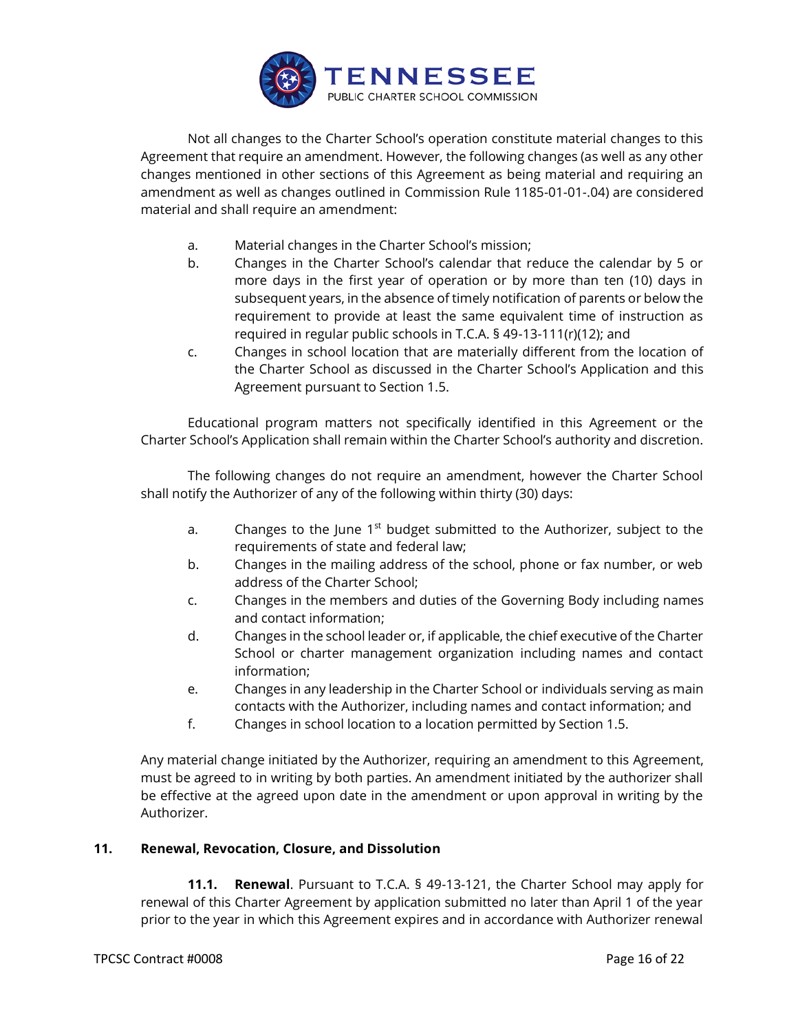

Not all changes to the Charter School's operation constitute material changes to this Agreement that require an amendment. However, the following changes (as well as any other changes mentioned in other sections of this Agreement as being material and requiring an amendment as well as changes outlined in Commission Rule 1185-01-01-.04) are considered material and shall require an amendment:

- a. Material changes in the Charter School's mission;
- b. Changes in the Charter School's calendar that reduce the calendar by 5 or more days in the first year of operation or by more than ten (10) days in subsequent years, in the absence of timely notification of parents or below the requirement to provide at least the same equivalent time of instruction as required in regular public schools in T.C.A. § 49-13-111(r)(12); and
- c. Changes in school location that are materially different from the location of the Charter School as discussed in the Charter School's Application and this Agreement pursuant to Section 1.5.

Educational program matters not specifically identified in this Agreement or the Charter School's Application shall remain within the Charter School's authority and discretion.

The following changes do not require an amendment, however the Charter School shall notify the Authorizer of any of the following within thirty (30) days:

- a. Changes to the June  $1^{st}$  budget submitted to the Authorizer, subject to the requirements of state and federal law;
- b. Changes in the mailing address of the school, phone or fax number, or web address of the Charter School;
- c. Changes in the members and duties of the Governing Body including names and contact information;
- d. Changes in the school leader or, if applicable, the chief executive of the Charter School or charter management organization including names and contact information;
- e. Changes in any leadership in the Charter School or individuals serving as main contacts with the Authorizer, including names and contact information; and
- f. Changes in school location to a location permitted by Section 1.5.

Any material change initiated by the Authorizer, requiring an amendment to this Agreement, must be agreed to in writing by both parties. An amendment initiated by the authorizer shall be effective at the agreed upon date in the amendment or upon approval in writing by the Authorizer.

### **11. Renewal, Revocation, Closure, and Dissolution**

**11.1. Renewal**. Pursuant to T.C.A. § 49-13-121, the Charter School may apply for renewal of this Charter Agreement by application submitted no later than April 1 of the year prior to the year in which this Agreement expires and in accordance with Authorizer renewal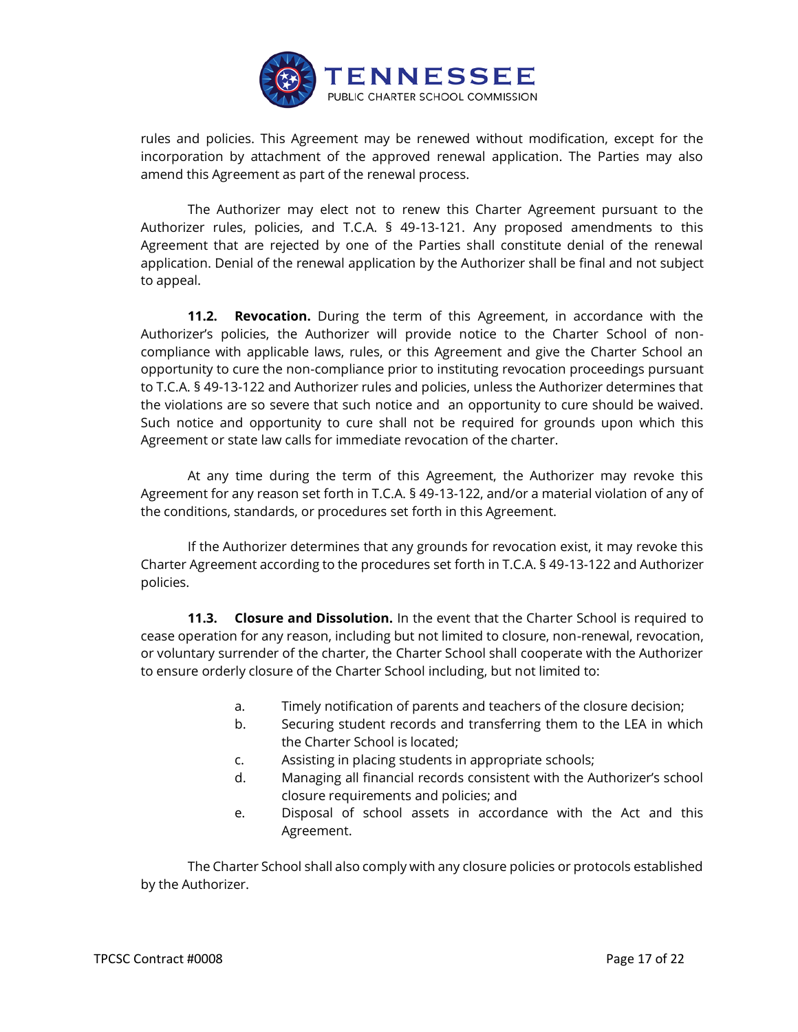

rules and policies. This Agreement may be renewed without modification, except for the incorporation by attachment of the approved renewal application. The Parties may also amend this Agreement as part of the renewal process.

The Authorizer may elect not to renew this Charter Agreement pursuant to the Authorizer rules, policies, and T.C.A. § 49-13-121. Any proposed amendments to this Agreement that are rejected by one of the Parties shall constitute denial of the renewal application. Denial of the renewal application by the Authorizer shall be final and not subject to appeal.

**11.2. Revocation.** During the term of this Agreement, in accordance with the Authorizer's policies, the Authorizer will provide notice to the Charter School of noncompliance with applicable laws, rules, or this Agreement and give the Charter School an opportunity to cure the non-compliance prior to instituting revocation proceedings pursuant to T.C.A. § 49-13-122 and Authorizer rules and policies, unless the Authorizer determines that the violations are so severe that such notice and an opportunity to cure should be waived. Such notice and opportunity to cure shall not be required for grounds upon which this Agreement or state law calls for immediate revocation of the charter.

At any time during the term of this Agreement, the Authorizer may revoke this Agreement for any reason set forth in T.C.A. § 49-13-122, and/or a material violation of any of the conditions, standards, or procedures set forth in this Agreement.

If the Authorizer determines that any grounds for revocation exist, it may revoke this Charter Agreement according to the procedures set forth in T.C.A. § 49-13-122 and Authorizer policies.

**11.3. Closure and Dissolution.** In the event that the Charter School is required to cease operation for any reason, including but not limited to closure, non-renewal, revocation, or voluntary surrender of the charter, the Charter School shall cooperate with the Authorizer to ensure orderly closure of the Charter School including, but not limited to:

- a. Timely notification of parents and teachers of the closure decision;
- b. Securing student records and transferring them to the LEA in which the Charter School is located;
- c. Assisting in placing students in appropriate schools;
- d. Managing all financial records consistent with the Authorizer's school closure requirements and policies; and
- e. Disposal of school assets in accordance with the Act and this Agreement.

The Charter School shall also comply with any closure policies or protocols established by the Authorizer.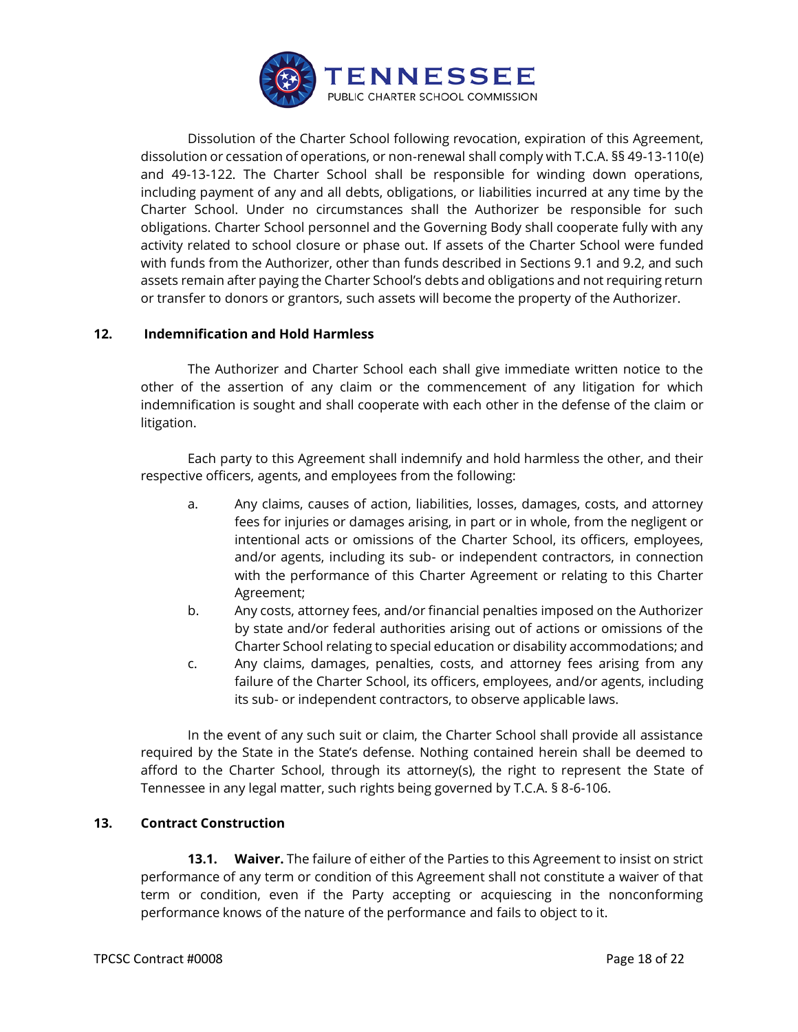

Dissolution of the Charter School following revocation, expiration of this Agreement, dissolution or cessation of operations, or non-renewal shall comply with T.C.A. §§ 49-13-110(e) and 49-13-122. The Charter School shall be responsible for winding down operations, including payment of any and all debts, obligations, or liabilities incurred at any time by the Charter School. Under no circumstances shall the Authorizer be responsible for such obligations. Charter School personnel and the Governing Body shall cooperate fully with any activity related to school closure or phase out. If assets of the Charter School were funded with funds from the Authorizer, other than funds described in Sections 9.1 and 9.2, and such assets remain after paying the Charter School's debts and obligations and not requiring return or transfer to donors or grantors, such assets will become the property of the Authorizer.

#### **12. Indemnification and Hold Harmless**

The Authorizer and Charter School each shall give immediate written notice to the other of the assertion of any claim or the commencement of any litigation for which indemnification is sought and shall cooperate with each other in the defense of the claim or litigation.

Each party to this Agreement shall indemnify and hold harmless the other, and their respective officers, agents, and employees from the following:

- a. Any claims, causes of action, liabilities, losses, damages, costs, and attorney fees for injuries or damages arising, in part or in whole, from the negligent or intentional acts or omissions of the Charter School, its officers, employees, and/or agents, including its sub- or independent contractors, in connection with the performance of this Charter Agreement or relating to this Charter Agreement;
- b. Any costs, attorney fees, and/or financial penalties imposed on the Authorizer by state and/or federal authorities arising out of actions or omissions of the Charter School relating to special education or disability accommodations; and
- c. Any claims, damages, penalties, costs, and attorney fees arising from any failure of the Charter School, its officers, employees, and/or agents, including its sub- or independent contractors, to observe applicable laws.

In the event of any such suit or claim, the Charter School shall provide all assistance required by the State in the State's defense. Nothing contained herein shall be deemed to afford to the Charter School, through its attorney(s), the right to represent the State of Tennessee in any legal matter, such rights being governed by T.C.A. § 8-6-106.

# **13. Contract Construction**

**13.1. Waiver.** The failure of either of the Parties to this Agreement to insist on strict performance of any term or condition of this Agreement shall not constitute a waiver of that term or condition, even if the Party accepting or acquiescing in the nonconforming performance knows of the nature of the performance and fails to object to it.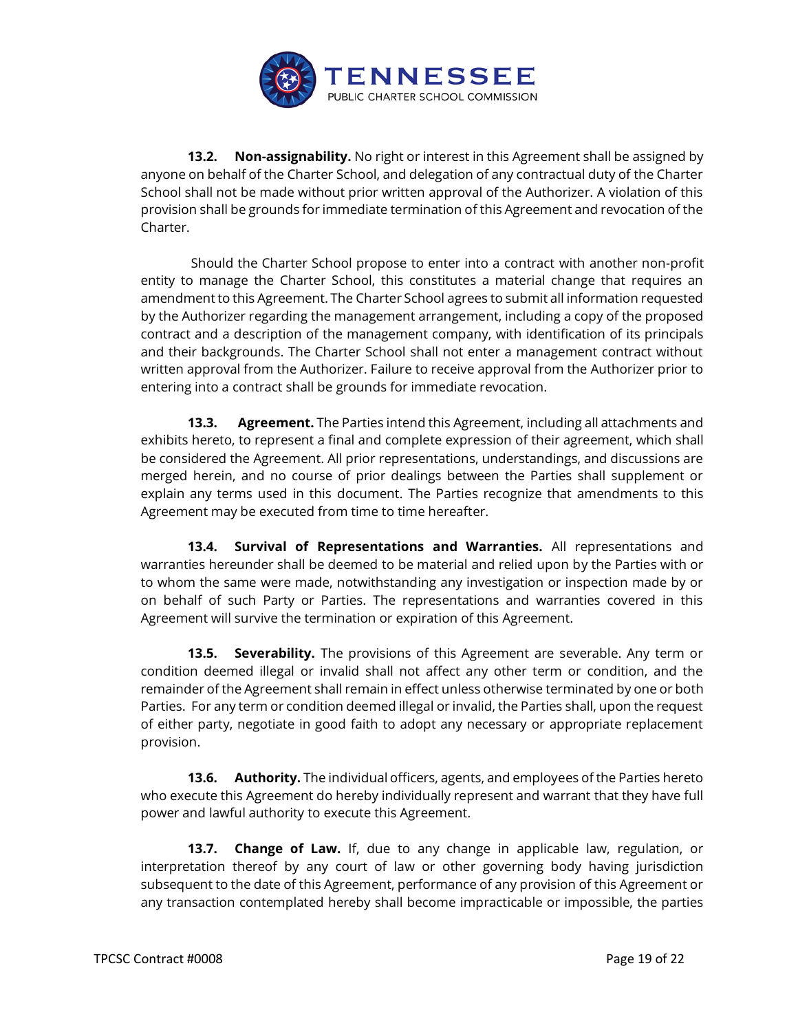

**13.2. Non-assignability.** No right or interest in this Agreement shall be assigned by anyone on behalf of the Charter School, and delegation of any contractual duty of the Charter School shall not be made without prior written approval of the Authorizer. A violation of this provision shall be grounds for immediate termination of this Agreement and revocation of the Charter.

Should the Charter School propose to enter into a contract with another non-profit entity to manage the Charter School, this constitutes a material change that requires an amendment to this Agreement. The Charter School agrees to submit all information requested by the Authorizer regarding the management arrangement, including a copy of the proposed contract and a description of the management company, with identification of its principals and their backgrounds. The Charter School shall not enter a management contract without written approval from the Authorizer. Failure to receive approval from the Authorizer prior to entering into a contract shall be grounds for immediate revocation.

**13.3. Agreement.** The Parties intend this Agreement, including all attachments and exhibits hereto, to represent a final and complete expression of their agreement, which shall be considered the Agreement. All prior representations, understandings, and discussions are merged herein, and no course of prior dealings between the Parties shall supplement or explain any terms used in this document. The Parties recognize that amendments to this Agreement may be executed from time to time hereafter.

**13.4. Survival of Representations and Warranties.** All representations and warranties hereunder shall be deemed to be material and relied upon by the Parties with or to whom the same were made, notwithstanding any investigation or inspection made by or on behalf of such Party or Parties. The representations and warranties covered in this Agreement will survive the termination or expiration of this Agreement.

**13.5. Severability.** The provisions of this Agreement are severable. Any term or condition deemed illegal or invalid shall not affect any other term or condition, and the remainder of the Agreement shall remain in effect unless otherwise terminated by one or both Parties. For any term or condition deemed illegal or invalid, the Parties shall, upon the request of either party, negotiate in good faith to adopt any necessary or appropriate replacement provision.

**13.6. Authority.** The individual officers, agents, and employees of the Parties hereto who execute this Agreement do hereby individually represent and warrant that they have full power and lawful authority to execute this Agreement.

**13.7. Change of Law.** If, due to any change in applicable law, regulation, or interpretation thereof by any court of law or other governing body having jurisdiction subsequent to the date of this Agreement, performance of any provision of this Agreement or any transaction contemplated hereby shall become impracticable or impossible, the parties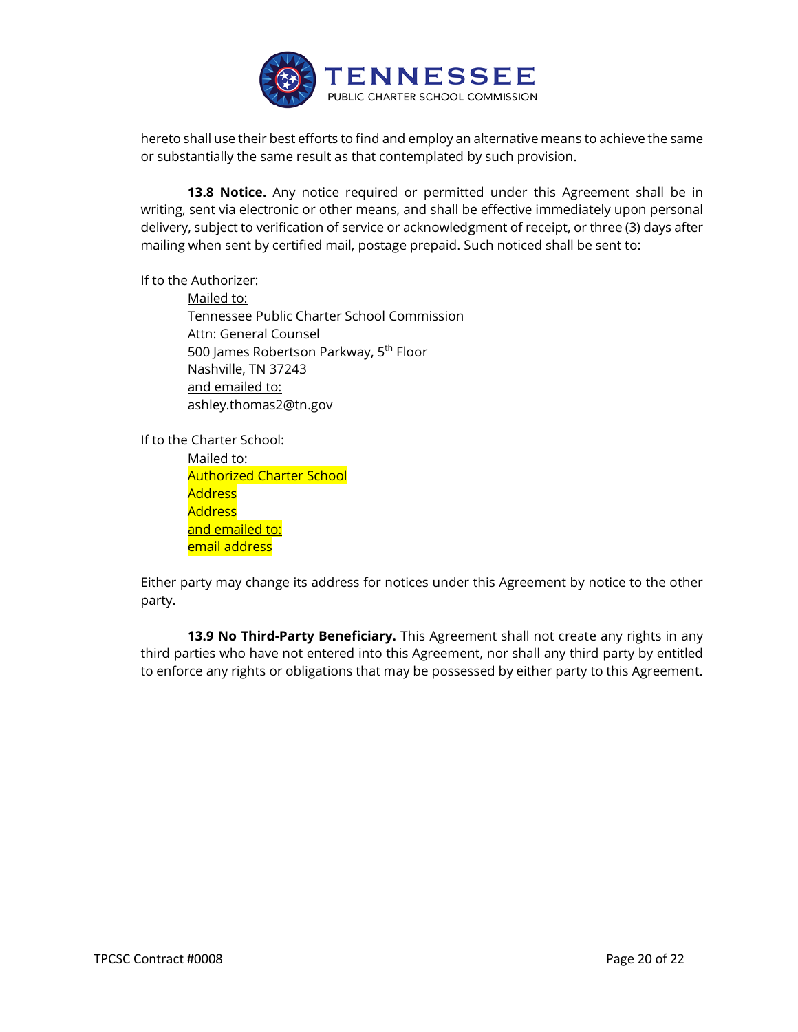

hereto shall use their best efforts to find and employ an alternative means to achieve the same or substantially the same result as that contemplated by such provision.

**13.8 Notice.** Any notice required or permitted under this Agreement shall be in writing, sent via electronic or other means, and shall be effective immediately upon personal delivery, subject to verification of service or acknowledgment of receipt, or three (3) days after mailing when sent by certified mail, postage prepaid. Such noticed shall be sent to:

If to the Authorizer:

Mailed to: Tennessee Public Charter School Commission Attn: General Counsel 500 James Robertson Parkway, 5<sup>th</sup> Floor Nashville, TN 37243 and emailed to: ashley.thomas2@tn.gov

If to the Charter School:

Mailed to: Authorized Charter School **Address Address** and emailed to: email address

Either party may change its address for notices under this Agreement by notice to the other party.

**13.9 No Third-Party Beneficiary.** This Agreement shall not create any rights in any third parties who have not entered into this Agreement, nor shall any third party by entitled to enforce any rights or obligations that may be possessed by either party to this Agreement.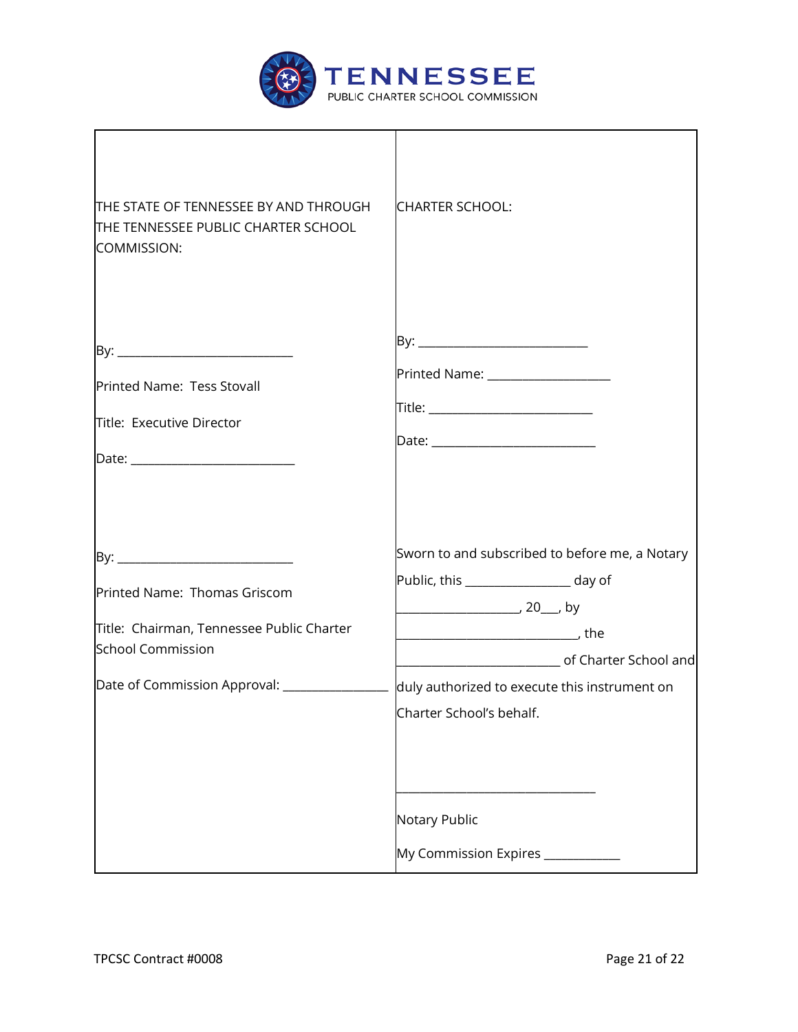

| THE STATE OF TENNESSEE BY AND THROUGH<br>THE TENNESSEE PUBLIC CHARTER SCHOOL<br>COMMISSION:                                                                                                                                                                                                     | <b>CHARTER SCHOOL:</b>                                                                                                                                                 |
|-------------------------------------------------------------------------------------------------------------------------------------------------------------------------------------------------------------------------------------------------------------------------------------------------|------------------------------------------------------------------------------------------------------------------------------------------------------------------------|
| Printed Name: Tess Stovall<br>Title: Executive Director<br>Date: <u>with the same and the same of the same of the same of the same of the same of the same of the same of the same of the same of the same of the same of the same of the same of the same of the same of the same of the s</u> | Printed Name: _____________________                                                                                                                                    |
| Printed Name: Thomas Griscom<br>Title: Chairman, Tennessee Public Charter<br><b>School Commission</b>                                                                                                                                                                                           | Sworn to and subscribed to before me, a Notary<br>Public, this ___________________ day of<br>duly authorized to execute this instrument on<br>Charter School's behalf. |
|                                                                                                                                                                                                                                                                                                 | Notary Public<br>My Commission Expires ____                                                                                                                            |

 $\Gamma$ 

٦